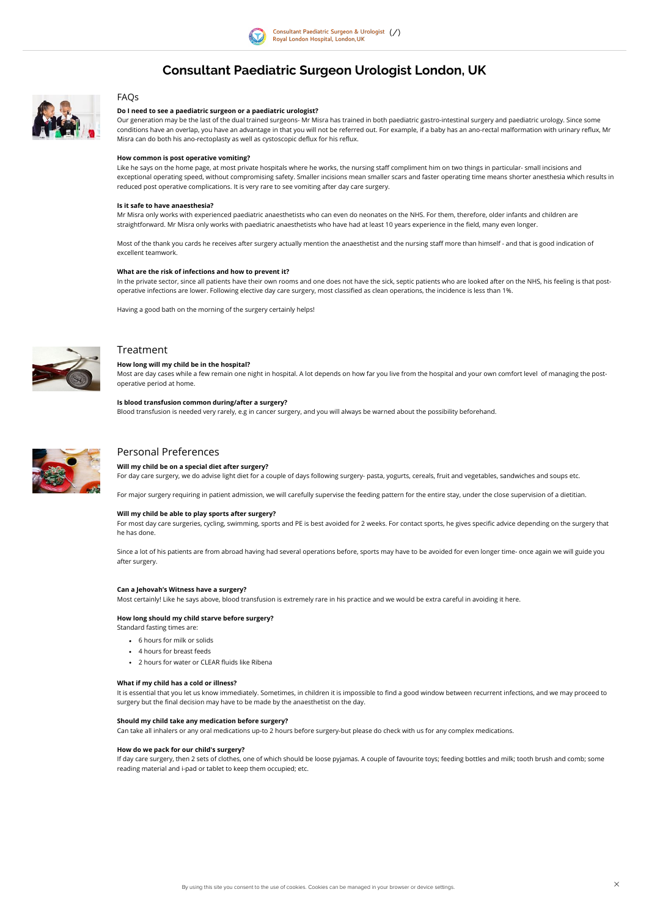

# Consultant Paediatric Surgeon Urologist London, UK



# FAQs

Our generation may be the last of the dual trained surgeons- Mr Misra has trained in both paediatric gastro-intestinal surgery and paediatric urology. Since some conditions have an overlap, you have an advantage in that you will not be referred out. For example, if a baby has an ano-rectal malformation with urinary reflux, Mr Misra can do both his ano-rectoplasty as well as cystoscopic deflux for his reflux.

# Do I need to see a paediatric surgeon or a paediatric urologist?

Like he says on the home page, at most private hospitals where he works, the nursing staff compliment him on two things in particular- small incisions and exceptional operating speed, without compromising safety. Smaller incisions mean smaller scars and faster operating time means shorter anesthesia which results in reduced post operative complications. It is very rare to see vomiting after day care surgery.

Mr Misra only works with experienced paediatric anaesthetists who can even do neonates on the NHS. For them, therefore, older infants and children are straightforward. Mr Misra only works with paediatric anaesthetists who have had at least 10 years experience in the field, many even longer.

### How common is post operative vomiting?

Most of the thank you cards he receives after surgery actually mention the anaesthetist and the nursing staff more than himself - and that is good indication of excellent teamwork.

In the private sector, since all patients have their own rooms and one does not have the sick, septic patients who are looked after on the NHS, his feeling is that postoperative infections are lower. Following elective day care surgery, most classified as clean operations, the incidence is less than 1%.

### Is it safe to have anaesthesia?

For most day care surgeries, cycling, swimming, sports and PE is best avoided for 2 weeks. For contact sports, he gives specific advice depending on the surgery that he has done.

### What are the risk of infections and how to prevent it?

- 6 hours for milk or solids
- 4 hours for breast feeds
- 2 hours for water or CLEAR fluids like Ribena

Having a good bath on the morning of the surgery certainly helps!



# Treatment

#### How long will my child be in the hospital?

Most are day cases while a few remain one night in hospital. A lot depends on how far you live from the hospital and your own comfort level of managing the postoperative period at home.

# Is blood transfusion common during/after a surgery? Blood transfusion is needed very rarely, e.g in cancer surgery, and you will always be warned about the possibility beforehand.



# Personal Preferences

# Will my child be on a special diet after surgery?

For day care surgery, we do advise light diet for a couple of days following surgery- pasta, yogurts, cereals, fruit and vegetables, sandwiches and soups etc.

For major surgery requiring in patient admission, we will carefully supervise the feeding pattern for the entire stay, under the close supervision of a dietitian.

### Will my child be able to play sports after surgery?

Since a lot of his patients are from abroad having had several operations before, sports may have to be avoided for even longer time- once again we will guide you after surgery.

#### Can a Jehovah's Witness have a surgery?

Most certainly! Like he says above, blood transfusion is extremely rare in his practice and we would be extra careful in avoiding it here.

# How long should my child starve before surgery?

Standard fasting times are:

#### What if my child has a cold or illness?

It is essential that you let us know immediately. Sometimes, in children it is impossible to find a good window between recurrent infections, and we may proceed to surgery but the final decision may have to be made by the anaesthetist on the day.

#### Should my child take any medication before surgery?

Can take all inhalers or any oral medications up-to 2 hours before surgery-but please do check with us for any complex medications.

#### How do we pack for our child's surgery?

If day care surgery, then 2 sets of clothes, one of which should be loose pyjamas. A couple of favourite toys; feeding bottles and milk; tooth brush and comb; some reading material and i-pad or tablet to keep them occupied; etc.